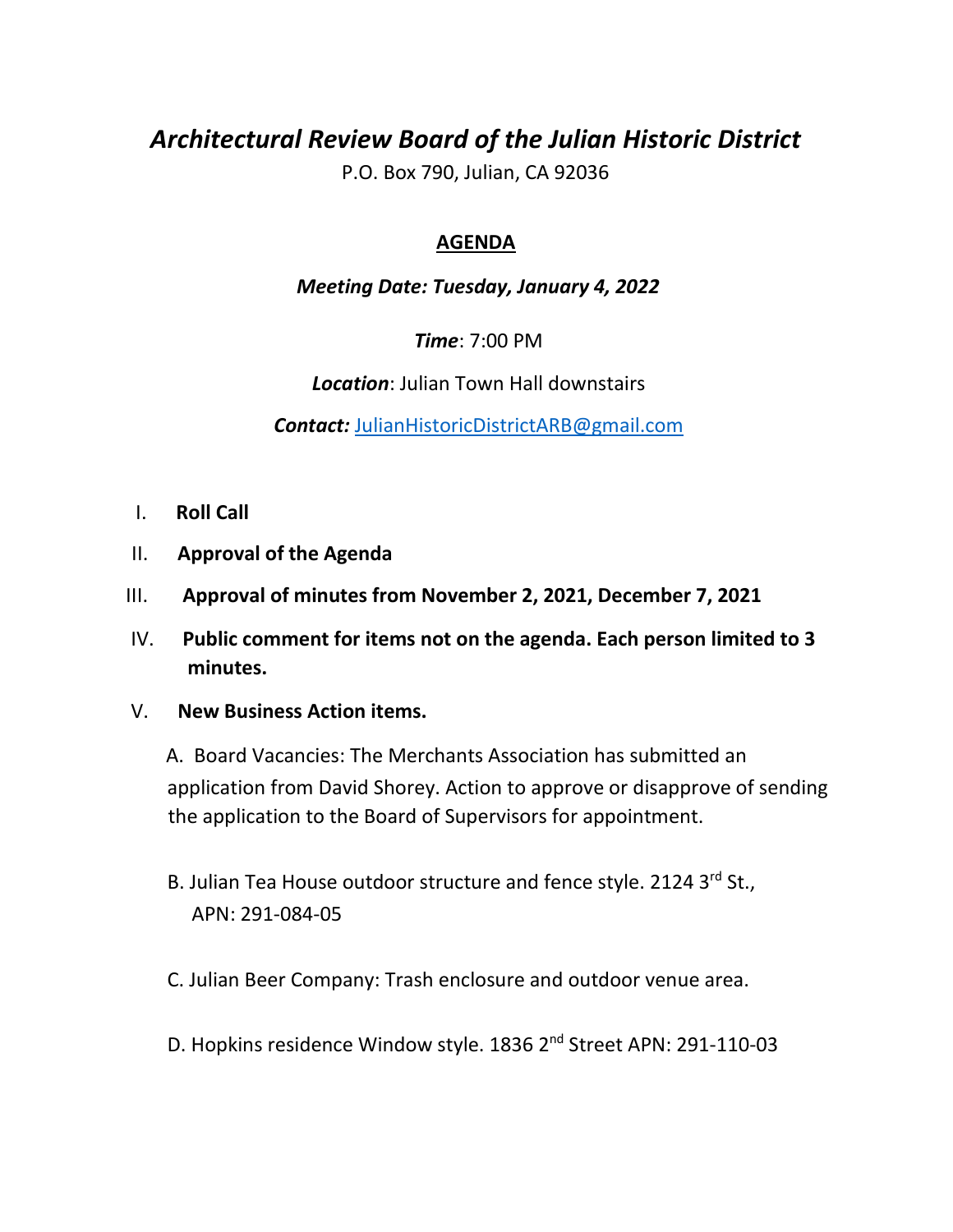# *Architectural Review Board of the Julian Historic District*

P.O. Box 790, Julian, CA 92036

# **AGENDA**

# *Meeting Date: Tuesday, January 4, 2022*

*Time*: 7:00 PM

*Location*: Julian Town Hall downstairs

*Contact:* JulianHistoricDistrictARB@gmail.com

- I. **Roll Call**
- II. **Approval of the Agenda**
- III. **Approval of minutes from November 2, 2021, December 7, 2021**
- IV. **Public comment for items not on the agenda. Each person limited to 3 minutes.**

## V. **New Business Action items.**

 A. Board Vacancies: The Merchants Association has submitted an application from David Shorey. Action to approve or disapprove of sending the application to the Board of Supervisors for appointment.

- B. Julian Tea House outdoor structure and fence style. 2124 3rd St., APN: 291-084-05
- C. Julian Beer Company: Trash enclosure and outdoor venue area.
- D. Hopkins residence Window style. 1836 2<sup>nd</sup> Street APN: 291-110-03